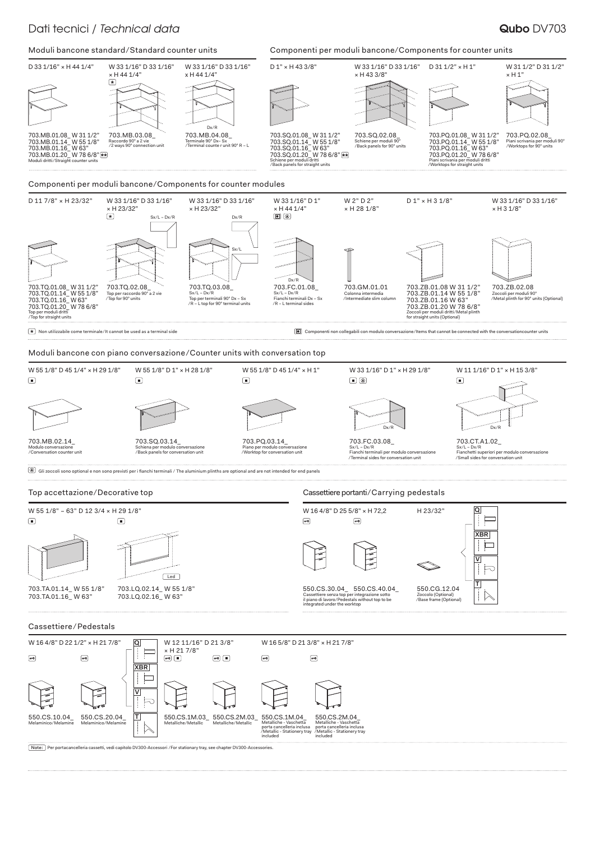## Dati tecnici / *Technical data* **Qubo** *DV703*



Melaminico ⁄ Melamine Melaminico ⁄ Melamine Metalliche ⁄ Metallic Metalliche ⁄ Metallic  $\mathbb{A}$ porta cancelleria<br>**porta** cancelleria cancelleria<br>**portal** porta ca<br>/Metallic included

550.CS.1M.03\_

550.CS.2M.03\_ 550.CS.1M.04\_ Metalliche - Vaschetta

550.CS.2M.04 porta cancelleria inclusa ⁄ Metallic - Stationery tray included

Note: Per portacancelleria cassetti, vedi capitolo DV300-Accessori ⁄ For stationary tray, see chapter DV300-Accessories.

**V**

F

**T**

550.CS.10.04\_

550.CS.20.04\_